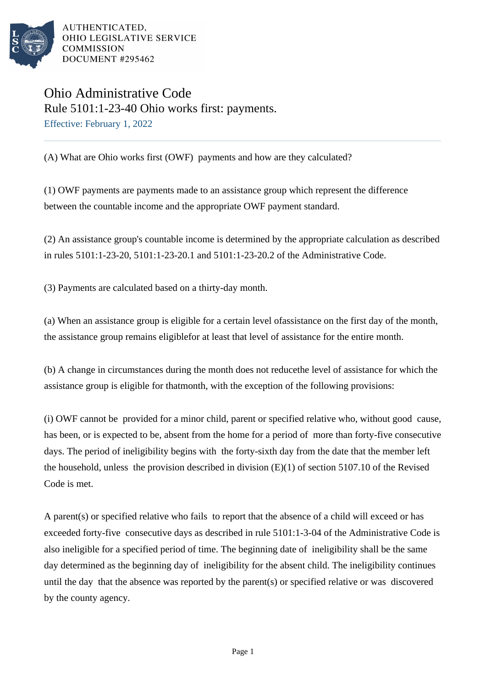

## Ohio Administrative Code Rule 5101:1-23-40 Ohio works first: payments. Effective: February 1, 2022

(A) What are Ohio works first (OWF) payments and how are they calculated?

(1) OWF payments are payments made to an assistance group which represent the difference between the countable income and the appropriate OWF payment standard.

(2) An assistance group's countable income is determined by the appropriate calculation as described in rules  $5101:1-23-20$ ,  $5101:1-23-20.1$  and  $5101:1-23-20.2$  of the Administrative Code.

(3) Payments are calculated based on a thirty-day month.

(a) When an assistance group is eligible for a certain level of assistance on the first day of the month, the assistance group remains eligible for at least that level of assistance for the entire month.

(b) A change in circumstances during the month does not reduce the level of assistance for which the assistance group is eligible for that month, with the exception of the following provisions:

(i) OWF cannot be provided for a minor child, parent or specified relative who, without good cause, has been, or is expected to be, absent from the home for a period of more than forty-five consecutive days. The period of ineligibility begins with the forty-sixth day from the date that the member left the household, unless the provision described in division  $(E)(1)$  of section 5107.10 of the Revised Code is met.

A parent(s) or specified relative who fails to report that the absence of a child will exceed or has exceeded forty-five consecutive days as described in rule 5101:1-3-04 of the Administrative Code is also ineligible for a specified period of time. The beginning date of ineligibility shall be the same day determined as the beginning day of ineligibility for the absent child. The ineligibility continues until the day that the absence was reported by the parent(s) or specified relative or was discovered by the county agency.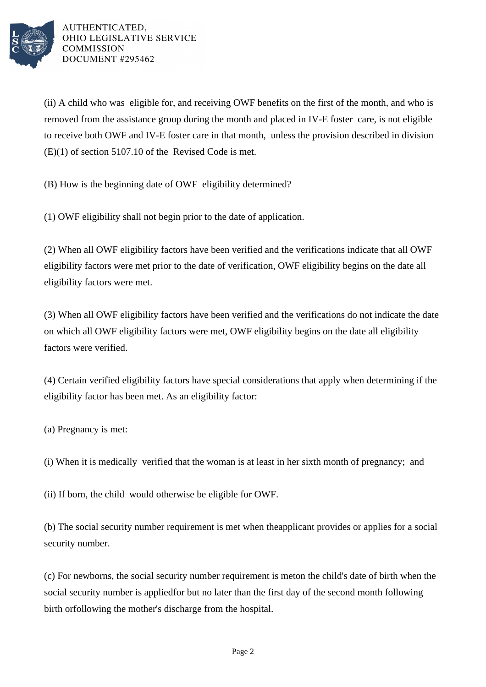

(ii) A child who was eligible for, and receiving OWF benefits on the first of the month, and who is removed from the assistance group during the month and placed in IV-E foster care, is not eligible to receive both OWF and IV-E foster care in that month, unless the provision described in division  $(E)(1)$  of section 5107.10 of the Revised Code is met.

(B) How is the beginning date of OWF eligibility determined?

(1) OWF eligibility shall not begin prior to the date of application.

(2) When all OWF eligibility factors have been verified and the verifications indicate that all OWF eligibility factors were met prior to the date of verification, OWF eligibility begins on the date all eligibility factors were met.

(3) When all OWF eligibility factors have been verified and the verifications do not indicate the date on which all OWF eligibility factors were met, OWF eligibility begins on the date all eligibility factors were verified.

(4) Certain verified eligibility factors have special considerations that apply when determining if the eligibility factor has been met. As an eligibility factor:

(a) Pregnancy is met:

 $(i)$  When it is medically verified that the woman is at least in her sixth month of pregnancy; and

(ii) If born, the child would otherwise be eligible for OWF.

(b) The social security number requirement is met when the applicant provides or applies for a social security number.

(c) For newborns, the social security number requirement is met on the child's date of birth when the social security number is applied for but no later than the first day of the second month following birth or following the mother's discharge from the hospital.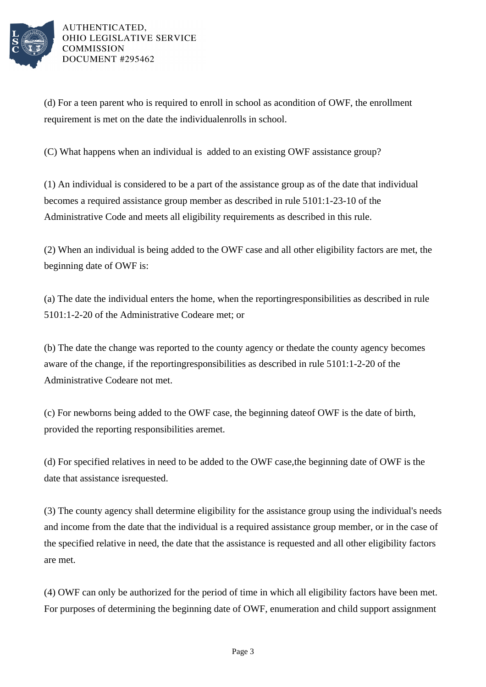

(d) For a teen parent who is required to enroll in school as a condition of OWF, the enrollment requirement is met on the date the individual enrolls in school.

(C) What happens when an individual is added to an existing OWF assistance group?

(1) An individual is considered to be a part of the assistance group as of the date that individual becomes a required assistance group member as described in rule 5101:1-23-10 of the Administrative Code and meets all eligibility requirements as described in this rule.

(2) When an individual is being added to the OWF case and all other eligibility factors are met, the beginning date of OWF is:

(a) The date the individual enters the home, when the reporting responsibilities as described in rule 5101:1-2-20 of the Administrative Code are met; or

(b) The date the change was reported to the county agency or the date the county agency becomes aware of the change, if the reporting responsibilities as described in rule  $5101:1-2-20$  of the Administrative Code are not met.

(c) For newborns being added to the OWF case, the beginning date of OWF is the date of birth, provided the reporting responsibilities are met.

(d) For specified relatives in need to be added to the OWF case, the beginning date of OWF is the date that assistance is requested.

(3) The county agency shall determine eligibility for the assistance group using the individual's needs and income from the date that the individual is a required assistance group member, or in the case of the specified relative in need, the date that the assistance is requested and all other eligibility factors are met.

(4) OWF can only be authorized for the period of time in which all eligibility factors have been met. For purposes of determining the beginning date of OWF, enumeration and child support assignment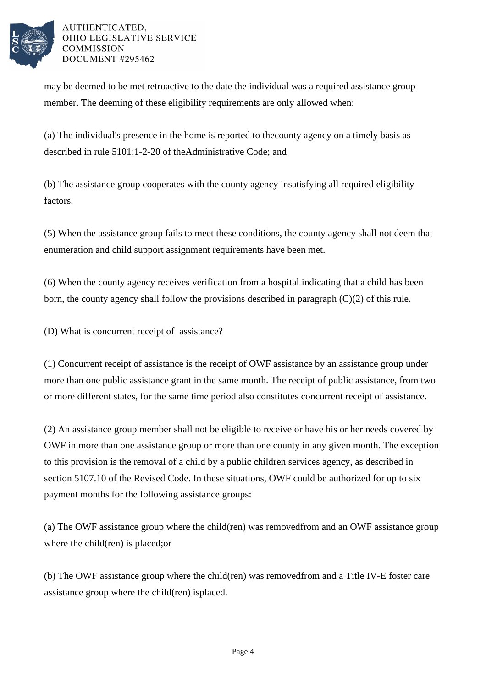

may be deemed to be met retroactive to the date the individual was a required assistance group member. The deeming of these eligibility requirements are only allowed when:

(a) The individual's presence in the home is reported to the county agency on a timely basis as described in rule 5101:1-2-20 of the Administrative Code; and

(b) The assistance group cooperates with the county agency in satisfying all required eligibility factors.

(5) When the assistance group fails to meet these conditions, the county agency shall not deem that enumeration and child support assignment requirements have been met.

(6) When the county agency receives verification from a hospital indicating that a child has been born, the county agency shall follow the provisions described in paragraph  $(C)(2)$  of this rule.

(D) What is concurrent receipt of assistance?

(1) Concurrent receipt of assistance is the receipt of OWF assistance by an assistance group under more than one public assistance grant in the same month. The receipt of public assistance, from two or more different states, for the same time period also constitutes concurrent receipt of assistance.

(2) An assistance group member shall not be eligible to receive or have his or her needs covered by OWF in more than one assistance group or more than one county in any given month. The exception to this provision is the removal of a child by a public children services agency, as described in section 5107.10 of the Revised Code. In these situations, OWF could be authorized for up to six payment months for the following assistance groups:

(a) The OWF assistance group where the child(ren) was removed from and an OWF assistance group where the child(ren) is placed; or

(b) The OWF assistance group where the child(ren) was removed from and a Title IV-E foster care assistance group where the child $(ren)$  is placed.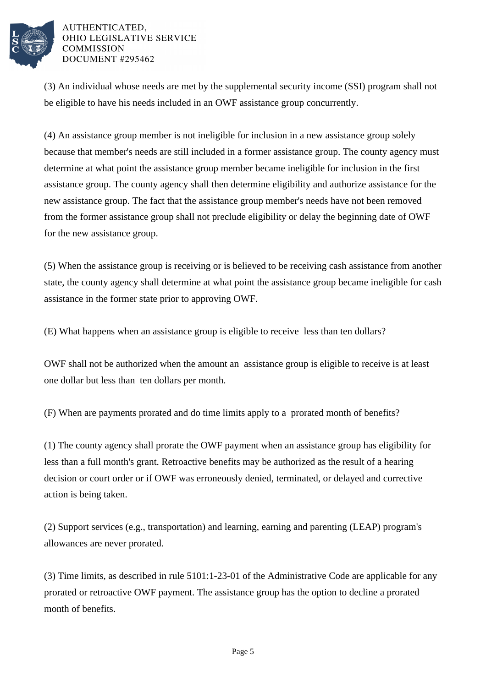

(3) An individual whose needs are met by the supplemental security income (SSI) program shall not be eligible to have his needs included in an OWF assistance group concurrently.

(4) An assistance group member is not ineligible for inclusion in a new assistance group solely because that member's needs are still included in a former assistance group. The county agency must determine at what point the assistance group member became ineligible for inclusion in the first assistance group. The county agency shall then determine eligibility and authorize assistance for the new assistance group. The fact that the assistance group member's needs have not been removed from the former assistance group shall not preclude eligibility or delay the beginning date of OWF for the new assistance group.

(5) When the assistance group is receiving or is believed to be receiving cash assistance from another state, the county agency shall determine at what point the assistance group became ineligible for cash assistance in the former state prior to approving OWF.

(E) What happens when an assistance group is eligible to receive less than ten dollars?

OWF shall not be authorized when the amount an assistance group is eligible to receive is at least one dollar but less than ten dollars per month.

(F) When are payments prorated and do time limits apply to a prorated month of benefits?

(1) The county agency shall prorate the OWF payment when an assistance group has eligibility for less than a full month's grant. Retroactive benefits may be authorized as the result of a hearing decision or court order or if OWF was erroneously denied, terminated, or delayed and corrective action is being taken.

(2) Support services (e.g., transportation) and learning, earning and parenting (LEAP) program's allowances are never prorated.

(3) Time limits, as described in rule 5101:1-23-01 of the Administrative Code are applicable for any prorated or retroactive OWF payment. The assistance group has the option to decline a prorated month of benefits.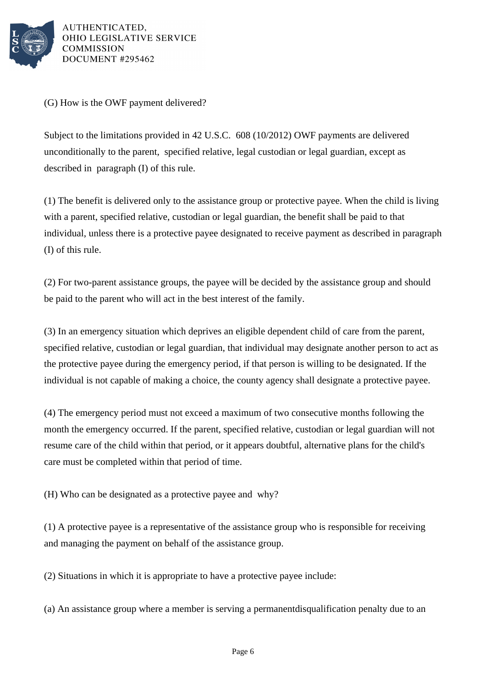

(G) How is the OWF payment delivered?

Subject to the limitations provided in 42 U.S.C. 608 (10/2012) OWF payments are delivered unconditionally to the parent, specified relative, legal custodian or legal guardian, except as described in paragraph (I) of this rule.

 $(1)$  The benefit is delivered only to the assistance group or protective payee. When the child is living with a parent, specified relative, custodian or legal guardian, the benefit shall be paid to that individual, unless there is a protective payee designated to receive payment as described in paragraph (I) of this rule.

(2) For two-parent assistance groups, the payee will be decided by the assistance group and should be paid to the parent who will act in the best interest of the family.

(3) In an emergency situation which deprives an eligible dependent child of care from the parent, specified relative, custodian or legal guardian, that individual may designate another person to act as the protective payee during the emergency period, if that person is willing to be designated. If the individual is not capable of making a choice, the county agency shall designate a protective payee.

(4) The emergency period must not exceed a maximum of two consecutive months following the month the emergency occurred. If the parent, specified relative, custodian or legal guardian will not resume care of the child within that period, or it appears doubtful, alternative plans for the child's care must be completed within that period of time.

(H) Who can be designated as a protective payee and why?

(1) A protective payee is a representative of the assistance group who is responsible for receiving and managing the payment on behalf of the assistance group.

(2) Situations in which it is appropriate to have a protective payee include:

(a) An assistance group where a member is serving a permanent disqualification penalty due to an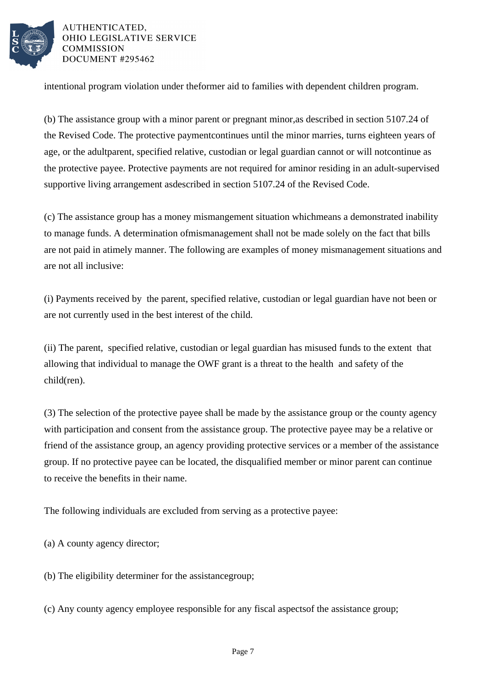

intentional program violation under the former aid to families with dependent children program.

(b) The assistance group with a minor parent or pregnant minor, as described in section 5107.24 of the Revised Code. The protective payment continues until the minor marries, turns eighteen years of age, or the adult parent, specified relative, custodian or legal guardian cannot or will not continue as the protective payee. Protective payments are not required for a minor residing in an adult-supervised supportive living arrangement as described in section 5107.24 of the Revised Code.

(c) The assistance group has a money mismangement situation which means a demonstrated inability to manage funds. A determination of mismanagement shall not be made solely on the fact that bills are not paid in a timely manner. The following are examples of money mismanagement situations and are not all inclusive:

(i) Payments received by the parent, specified relative, custodian or legal guardian have not been or are not currently used in the best interest of the child.

(ii) The parent, specified relative, custodian or legal guardian has misused funds to the extent that allowing that individual to manage the OWF grant is a threat to the health and safety of the child(ren).

(3) The selection of the protective payee shall be made by the assistance group or the county agency with participation and consent from the assistance group. The protective payee may be a relative or friend of the assistance group, an agency providing protective services or a member of the assistance group. If no protective payee can be located, the disqualified member or minor parent can continue to receive the benefits in their name.

The following individuals are excluded from serving as a protective payee:

(a) A county agency director;

(b) The eligibility determiner for the assistance group;

(c) Any county agency employee responsible for any fiscal aspects of the assistance group;